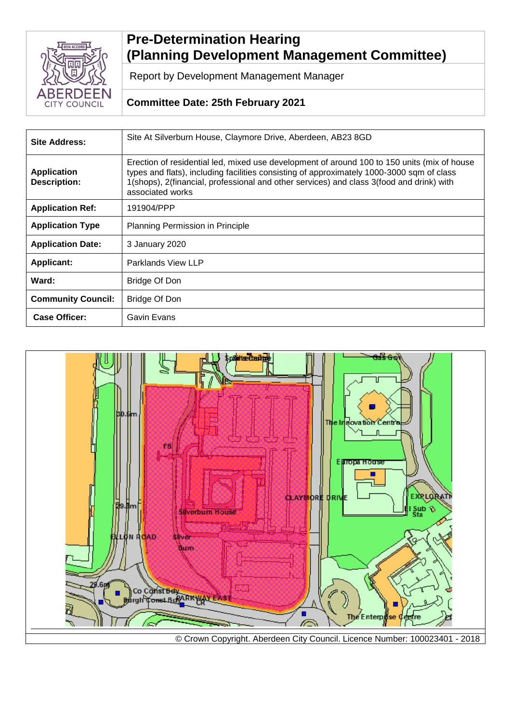

# **Pre-Determination Hearing (Planning Development Management Committee)**

Report by Development Management Manager

## **Committee Date: 25th February 2021**

| <b>Site Address:</b>                      | Site At Silverburn House, Claymore Drive, Aberdeen, AB23 8GD                                                                                                                                                                                                                                             |
|-------------------------------------------|----------------------------------------------------------------------------------------------------------------------------------------------------------------------------------------------------------------------------------------------------------------------------------------------------------|
| <b>Application</b><br><b>Description:</b> | Erection of residential led, mixed use development of around 100 to 150 units (mix of house<br>types and flats), including facilities consisting of approximately 1000-3000 sqm of class<br>1(shops), 2(financial, professional and other services) and class 3(food and drink) with<br>associated works |
| <b>Application Ref:</b>                   | 191904/PPP                                                                                                                                                                                                                                                                                               |
| <b>Application Type</b>                   | Planning Permission in Principle                                                                                                                                                                                                                                                                         |
| <b>Application Date:</b>                  | 3 January 2020                                                                                                                                                                                                                                                                                           |
| <b>Applicant:</b>                         | Parklands View LLP                                                                                                                                                                                                                                                                                       |
| Ward:                                     | Bridge Of Don                                                                                                                                                                                                                                                                                            |
| <b>Community Council:</b>                 | Bridge Of Don                                                                                                                                                                                                                                                                                            |
| <b>Case Officer:</b>                      | Gavin Evans                                                                                                                                                                                                                                                                                              |

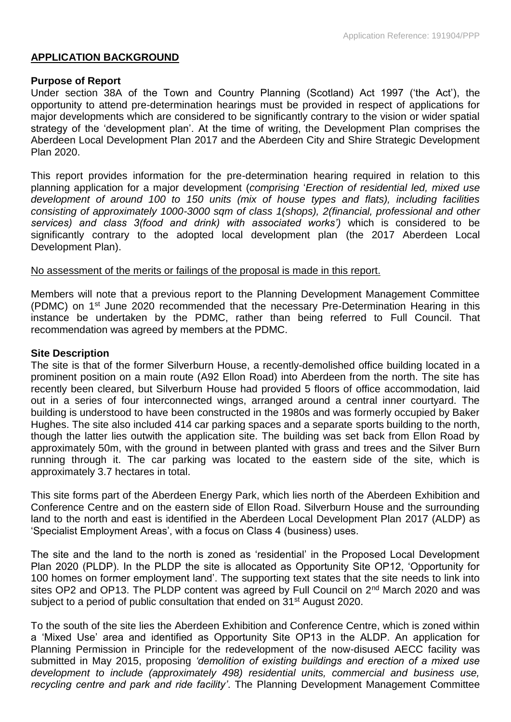#### **APPLICATION BACKGROUND**

#### **Purpose of Report**

Under section 38A of the Town and Country Planning (Scotland) Act 1997 ('the Act'), the opportunity to attend pre-determination hearings must be provided in respect of applications for major developments which are considered to be significantly contrary to the vision or wider spatial strategy of the 'development plan'. At the time of writing, the Development Plan comprises the Aberdeen Local Development Plan 2017 and the Aberdeen City and Shire Strategic Development Plan 2020.

This report provides information for the pre-determination hearing required in relation to this planning application for a major development (*comprising* '*Erection of residential led, mixed use development of around 100 to 150 units (mix of house types and flats), including facilities consisting of approximately 1000-3000 sqm of class 1(shops), 2(financial, professional and other services) and class 3(food and drink) with associated works')* which is considered to be significantly contrary to the adopted local development plan (the 2017 Aberdeen Local Development Plan).

#### No assessment of the merits or failings of the proposal is made in this report.

Members will note that a previous report to the Planning Development Management Committee (PDMC) on 1<sup>st</sup> June 2020 recommended that the necessary Pre-Determination Hearing in this instance be undertaken by the PDMC, rather than being referred to Full Council. That recommendation was agreed by members at the PDMC.

#### **Site Description**

The site is that of the former Silverburn House, a recently-demolished office building located in a prominent position on a main route (A92 Ellon Road) into Aberdeen from the north. The site has recently been cleared, but Silverburn House had provided 5 floors of office accommodation, laid out in a series of four interconnected wings, arranged around a central inner courtyard. The building is understood to have been constructed in the 1980s and was formerly occupied by Baker Hughes. The site also included 414 car parking spaces and a separate sports building to the north, though the latter lies outwith the application site. The building was set back from Ellon Road by approximately 50m, with the ground in between planted with grass and trees and the Silver Burn running through it. The car parking was located to the eastern side of the site, which is approximately 3.7 hectares in total.

This site forms part of the Aberdeen Energy Park, which lies north of the Aberdeen Exhibition and Conference Centre and on the eastern side of Ellon Road. Silverburn House and the surrounding land to the north and east is identified in the Aberdeen Local Development Plan 2017 (ALDP) as 'Specialist Employment Areas', with a focus on Class 4 (business) uses.

The site and the land to the north is zoned as 'residential' in the Proposed Local Development Plan 2020 (PLDP). In the PLDP the site is allocated as Opportunity Site OP12, 'Opportunity for 100 homes on former employment land'. The supporting text states that the site needs to link into sites OP2 and OP13. The PLDP content was agreed by Full Council on 2<sup>nd</sup> March 2020 and was subject to a period of public consultation that ended on 31<sup>st</sup> August 2020.

To the south of the site lies the Aberdeen Exhibition and Conference Centre, which is zoned within a 'Mixed Use' area and identified as Opportunity Site OP13 in the ALDP. An application for Planning Permission in Principle for the redevelopment of the now-disused AECC facility was submitted in May 2015, proposing *'demolition of existing buildings and erection of a mixed use development to include (approximately 498) residential units, commercial and business use, recycling centre and park and ride facility'*. The Planning Development Management Committee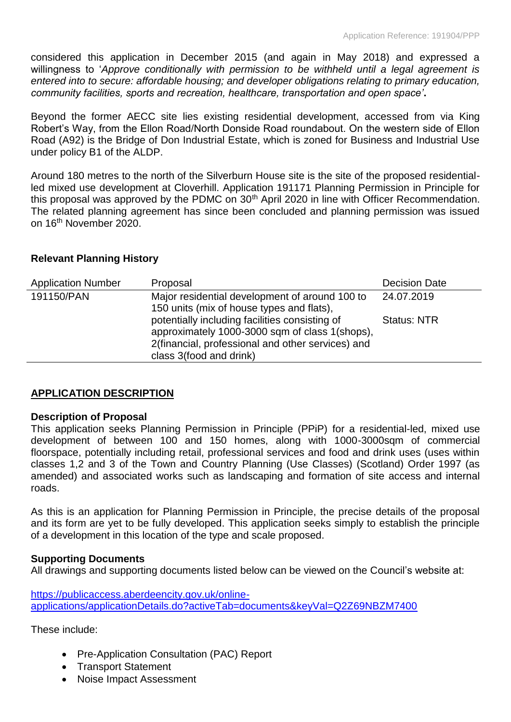considered this application in December 2015 (and again in May 2018) and expressed a willingness to '*Approve conditionally with permission to be withheld until a legal agreement is entered into to secure: affordable housing; and developer obligations relating to primary education, community facilities, sports and recreation, healthcare, transportation and open space'***.**

Beyond the former AECC site lies existing residential development, accessed from via King Robert's Way, from the Ellon Road/North Donside Road roundabout. On the western side of Ellon Road (A92) is the Bridge of Don Industrial Estate, which is zoned for Business and Industrial Use under policy B1 of the ALDP.

Around 180 metres to the north of the Silverburn House site is the site of the proposed residentialled mixed use development at Cloverhill. Application 191171 Planning Permission in Principle for this proposal was approved by the PDMC on 30<sup>th</sup> April 2020 in line with Officer Recommendation. The related planning agreement has since been concluded and planning permission was issued on 16th November 2020.

## **Relevant Planning History**

| <b>Application Number</b> | Proposal                                                                                                                                                                         | <b>Decision Date</b> |
|---------------------------|----------------------------------------------------------------------------------------------------------------------------------------------------------------------------------|----------------------|
| 191150/PAN                | Major residential development of around 100 to<br>150 units (mix of house types and flats),                                                                                      | 24.07.2019           |
|                           | potentially including facilities consisting of<br>approximately 1000-3000 sqm of class 1(shops),<br>2(financial, professional and other services) and<br>class 3(food and drink) | <b>Status: NTR</b>   |

## **APPLICATION DESCRIPTION**

## **Description of Proposal**

This application seeks Planning Permission in Principle (PPiP) for a residential-led, mixed use development of between 100 and 150 homes, along with 1000-3000sqm of commercial floorspace, potentially including retail, professional services and food and drink uses (uses within classes 1,2 and 3 of the Town and Country Planning (Use Classes) (Scotland) Order 1997 (as amended) and associated works such as landscaping and formation of site access and internal roads.

As this is an application for Planning Permission in Principle, the precise details of the proposal and its form are yet to be fully developed. This application seeks simply to establish the principle of a development in this location of the type and scale proposed.

## **Supporting Documents**

All drawings and supporting documents listed below can be viewed on the Council's website at:

[https://publicaccess.aberdeencity.gov.uk/online](https://publicaccess.aberdeencity.gov.uk/online-applications/applicationDetails.do?activeTab=documents&keyVal=Q2Z69NBZM7400)[applications/applicationDetails.do?activeTab=documents&keyVal=Q2Z69NBZM7400](https://publicaccess.aberdeencity.gov.uk/online-applications/applicationDetails.do?activeTab=documents&keyVal=Q2Z69NBZM7400)

These include:

- Pre-Application Consultation (PAC) Report
- Transport Statement
- Noise Impact Assessment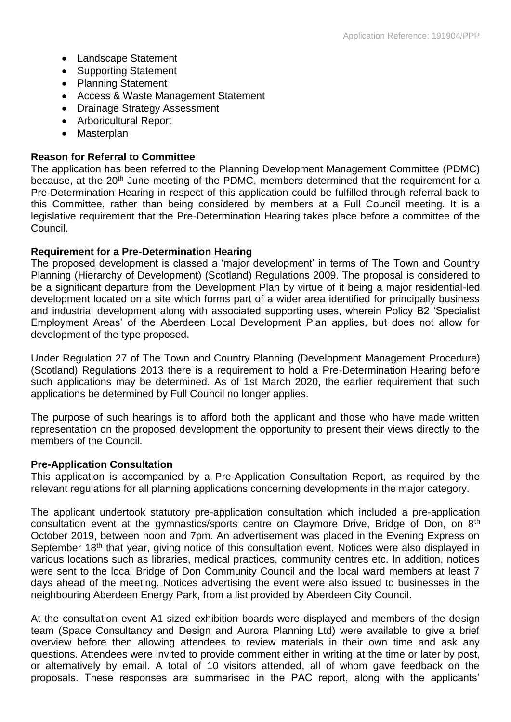- Landscape Statement
- Supporting Statement
- Planning Statement
- Access & Waste Management Statement
- Drainage Strategy Assessment
- Arboricultural Report
- Masterplan

#### **Reason for Referral to Committee**

The application has been referred to the Planning Development Management Committee (PDMC) because, at the 20<sup>th</sup> June meeting of the PDMC, members determined that the requirement for a Pre-Determination Hearing in respect of this application could be fulfilled through referral back to this Committee, rather than being considered by members at a Full Council meeting. It is a legislative requirement that the Pre-Determination Hearing takes place before a committee of the Council.

#### **Requirement for a Pre-Determination Hearing**

The proposed development is classed a 'major development' in terms of The Town and Country Planning (Hierarchy of Development) (Scotland) Regulations 2009. The proposal is considered to be a significant departure from the Development Plan by virtue of it being a major residential-led development located on a site which forms part of a wider area identified for principally business and industrial development along with associated supporting uses, wherein Policy B2 'Specialist Employment Areas' of the Aberdeen Local Development Plan applies, but does not allow for development of the type proposed.

Under Regulation 27 of The Town and Country Planning (Development Management Procedure) (Scotland) Regulations 2013 there is a requirement to hold a Pre-Determination Hearing before such applications may be determined. As of 1st March 2020, the earlier requirement that such applications be determined by Full Council no longer applies.

The purpose of such hearings is to afford both the applicant and those who have made written representation on the proposed development the opportunity to present their views directly to the members of the Council.

#### **Pre-Application Consultation**

This application is accompanied by a Pre-Application Consultation Report, as required by the relevant regulations for all planning applications concerning developments in the major category.

The applicant undertook statutory pre-application consultation which included a pre-application consultation event at the gymnastics/sports centre on Claymore Drive, Bridge of Don, on 8<sup>th</sup> October 2019, between noon and 7pm. An advertisement was placed in the Evening Express on September 18<sup>th</sup> that year, giving notice of this consultation event. Notices were also displayed in various locations such as libraries, medical practices, community centres etc. In addition, notices were sent to the local Bridge of Don Community Council and the local ward members at least 7 days ahead of the meeting. Notices advertising the event were also issued to businesses in the neighbouring Aberdeen Energy Park, from a list provided by Aberdeen City Council.

At the consultation event A1 sized exhibition boards were displayed and members of the design team (Space Consultancy and Design and Aurora Planning Ltd) were available to give a brief overview before then allowing attendees to review materials in their own time and ask any questions. Attendees were invited to provide comment either in writing at the time or later by post, or alternatively by email. A total of 10 visitors attended, all of whom gave feedback on the proposals. These responses are summarised in the PAC report, along with the applicants'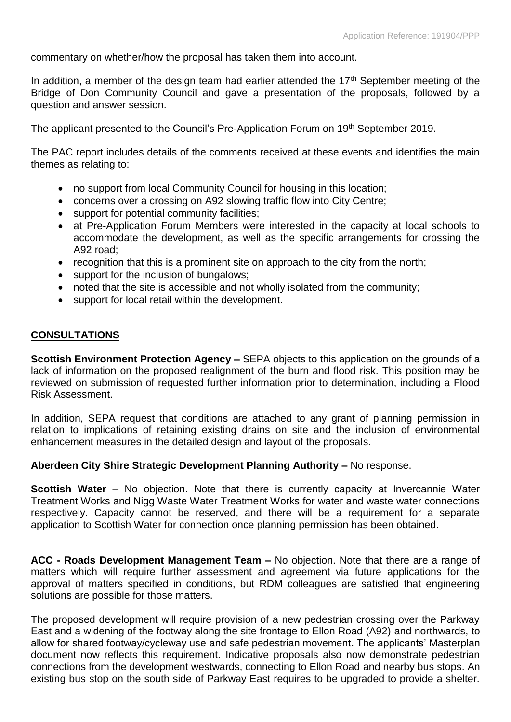commentary on whether/how the proposal has taken them into account.

In addition, a member of the design team had earlier attended the  $17<sup>th</sup>$  September meeting of the Bridge of Don Community Council and gave a presentation of the proposals, followed by a question and answer session.

The applicant presented to the Council's Pre-Application Forum on 19<sup>th</sup> September 2019.

The PAC report includes details of the comments received at these events and identifies the main themes as relating to:

- no support from local Community Council for housing in this location;
- concerns over a crossing on A92 slowing traffic flow into City Centre;
- support for potential community facilities;
- at Pre-Application Forum Members were interested in the capacity at local schools to accommodate the development, as well as the specific arrangements for crossing the A92 road;
- recognition that this is a prominent site on approach to the city from the north;
- support for the inclusion of bungalows;
- noted that the site is accessible and not wholly isolated from the community;
- support for local retail within the development.

#### **CONSULTATIONS**

**Scottish Environment Protection Agency –** SEPA objects to this application on the grounds of a lack of information on the proposed realignment of the burn and flood risk. This position may be reviewed on submission of requested further information prior to determination, including a Flood Risk Assessment.

In addition, SEPA request that conditions are attached to any grant of planning permission in relation to implications of retaining existing drains on site and the inclusion of environmental enhancement measures in the detailed design and layout of the proposals.

#### **Aberdeen City Shire Strategic Development Planning Authority –** No response.

**Scottish Water –** No objection. Note that there is currently capacity at Invercannie Water Treatment Works and Nigg Waste Water Treatment Works for water and waste water connections respectively. Capacity cannot be reserved, and there will be a requirement for a separate application to Scottish Water for connection once planning permission has been obtained.

**ACC - Roads Development Management Team –** No objection. Note that there are a range of matters which will require further assessment and agreement via future applications for the approval of matters specified in conditions, but RDM colleagues are satisfied that engineering solutions are possible for those matters.

The proposed development will require provision of a new pedestrian crossing over the Parkway East and a widening of the footway along the site frontage to Ellon Road (A92) and northwards, to allow for shared footway/cycleway use and safe pedestrian movement. The applicants' Masterplan document now reflects this requirement. Indicative proposals also now demonstrate pedestrian connections from the development westwards, connecting to Ellon Road and nearby bus stops. An existing bus stop on the south side of Parkway East requires to be upgraded to provide a shelter.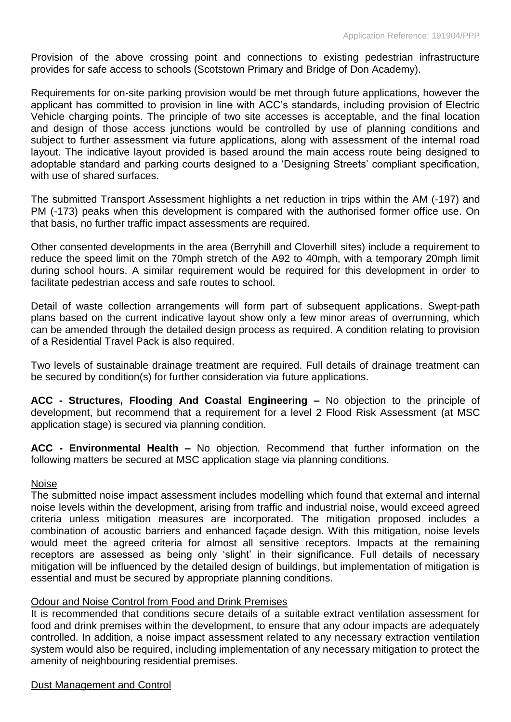Provision of the above crossing point and connections to existing pedestrian infrastructure provides for safe access to schools (Scotstown Primary and Bridge of Don Academy).

Requirements for on-site parking provision would be met through future applications, however the applicant has committed to provision in line with ACC's standards, including provision of Electric Vehicle charging points. The principle of two site accesses is acceptable, and the final location and design of those access junctions would be controlled by use of planning conditions and subject to further assessment via future applications, along with assessment of the internal road layout. The indicative layout provided is based around the main access route being designed to adoptable standard and parking courts designed to a 'Designing Streets' compliant specification, with use of shared surfaces.

The submitted Transport Assessment highlights a net reduction in trips within the AM (-197) and PM (-173) peaks when this development is compared with the authorised former office use. On that basis, no further traffic impact assessments are required.

Other consented developments in the area (Berryhill and Cloverhill sites) include a requirement to reduce the speed limit on the 70mph stretch of the A92 to 40mph, with a temporary 20mph limit during school hours. A similar requirement would be required for this development in order to facilitate pedestrian access and safe routes to school.

Detail of waste collection arrangements will form part of subsequent applications. Swept-path plans based on the current indicative layout show only a few minor areas of overrunning, which can be amended through the detailed design process as required. A condition relating to provision of a Residential Travel Pack is also required.

Two levels of sustainable drainage treatment are required. Full details of drainage treatment can be secured by condition(s) for further consideration via future applications.

**ACC - Structures, Flooding And Coastal Engineering –** No objection to the principle of development, but recommend that a requirement for a level 2 Flood Risk Assessment (at MSC application stage) is secured via planning condition.

**ACC - Environmental Health –** No objection. Recommend that further information on the following matters be secured at MSC application stage via planning conditions.

## Noise

The submitted noise impact assessment includes modelling which found that external and internal noise levels within the development, arising from traffic and industrial noise, would exceed agreed criteria unless mitigation measures are incorporated. The mitigation proposed includes a combination of acoustic barriers and enhanced façade design. With this mitigation, noise levels would meet the agreed criteria for almost all sensitive receptors. Impacts at the remaining receptors are assessed as being only 'slight' in their significance. Full details of necessary mitigation will be influenced by the detailed design of buildings, but implementation of mitigation is essential and must be secured by appropriate planning conditions.

## Odour and Noise Control from Food and Drink Premises

It is recommended that conditions secure details of a suitable extract ventilation assessment for food and drink premises within the development, to ensure that any odour impacts are adequately controlled. In addition, a noise impact assessment related to any necessary extraction ventilation system would also be required, including implementation of any necessary mitigation to protect the amenity of neighbouring residential premises.

## Dust Management and Control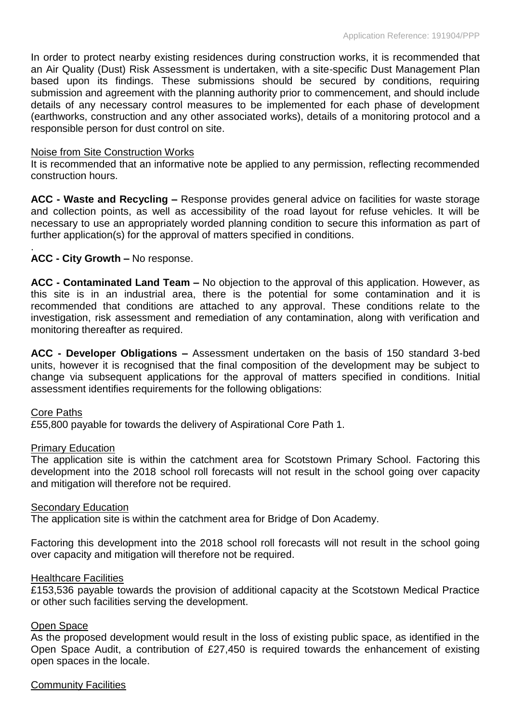In order to protect nearby existing residences during construction works, it is recommended that an Air Quality (Dust) Risk Assessment is undertaken, with a site-specific Dust Management Plan based upon its findings. These submissions should be secured by conditions, requiring submission and agreement with the planning authority prior to commencement, and should include details of any necessary control measures to be implemented for each phase of development (earthworks, construction and any other associated works), details of a monitoring protocol and a responsible person for dust control on site.

#### Noise from Site Construction Works

It is recommended that an informative note be applied to any permission, reflecting recommended construction hours.

**ACC - Waste and Recycling –** Response provides general advice on facilities for waste storage and collection points, as well as accessibility of the road layout for refuse vehicles. It will be necessary to use an appropriately worded planning condition to secure this information as part of further application(s) for the approval of matters specified in conditions.

## **ACC - City Growth –** No response.

**ACC - Contaminated Land Team –** No objection to the approval of this application. However, as this site is in an industrial area, there is the potential for some contamination and it is recommended that conditions are attached to any approval. These conditions relate to the investigation, risk assessment and remediation of any contamination, along with verification and monitoring thereafter as required.

**ACC - Developer Obligations –** Assessment undertaken on the basis of 150 standard 3-bed units, however it is recognised that the final composition of the development may be subject to change via subsequent applications for the approval of matters specified in conditions. Initial assessment identifies requirements for the following obligations:

#### Core Paths

.

£55,800 payable for towards the delivery of Aspirational Core Path 1.

#### Primary Education

The application site is within the catchment area for Scotstown Primary School. Factoring this development into the 2018 school roll forecasts will not result in the school going over capacity and mitigation will therefore not be required.

#### Secondary Education

The application site is within the catchment area for Bridge of Don Academy.

Factoring this development into the 2018 school roll forecasts will not result in the school going over capacity and mitigation will therefore not be required.

#### Healthcare Facilities

£153,536 payable towards the provision of additional capacity at the Scotstown Medical Practice or other such facilities serving the development.

## Open Space

As the proposed development would result in the loss of existing public space, as identified in the Open Space Audit, a contribution of £27,450 is required towards the enhancement of existing open spaces in the locale.

#### Community Facilities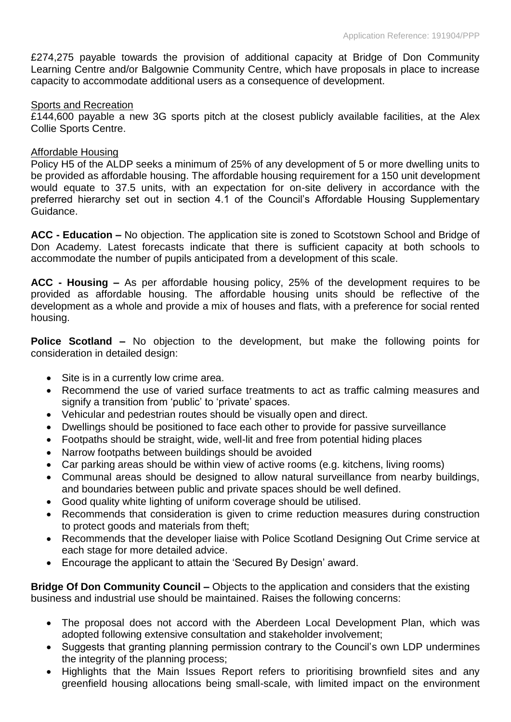£274,275 payable towards the provision of additional capacity at Bridge of Don Community Learning Centre and/or Balgownie Community Centre, which have proposals in place to increase capacity to accommodate additional users as a consequence of development.

#### Sports and Recreation

£144,600 payable a new 3G sports pitch at the closest publicly available facilities, at the Alex Collie Sports Centre.

#### Affordable Housing

Policy H5 of the ALDP seeks a minimum of 25% of any development of 5 or more dwelling units to be provided as affordable housing. The affordable housing requirement for a 150 unit development would equate to 37.5 units, with an expectation for on-site delivery in accordance with the preferred hierarchy set out in section 4.1 of the Council's Affordable Housing Supplementary Guidance.

**ACC - Education –** No objection. The application site is zoned to Scotstown School and Bridge of Don Academy. Latest forecasts indicate that there is sufficient capacity at both schools to accommodate the number of pupils anticipated from a development of this scale.

**ACC - Housing –** As per affordable housing policy, 25% of the development requires to be provided as affordable housing. The affordable housing units should be reflective of the development as a whole and provide a mix of houses and flats, with a preference for social rented housing.

**Police Scotland –** No objection to the development, but make the following points for consideration in detailed design:

- Site is in a currently low crime area.
- Recommend the use of varied surface treatments to act as traffic calming measures and signify a transition from 'public' to 'private' spaces.
- Vehicular and pedestrian routes should be visually open and direct.
- Dwellings should be positioned to face each other to provide for passive surveillance
- Footpaths should be straight, wide, well-lit and free from potential hiding places
- Narrow footpaths between buildings should be avoided
- Car parking areas should be within view of active rooms (e.g. kitchens, living rooms)
- Communal areas should be designed to allow natural surveillance from nearby buildings, and boundaries between public and private spaces should be well defined.
- Good quality white lighting of uniform coverage should be utilised.
- Recommends that consideration is given to crime reduction measures during construction to protect goods and materials from theft;
- Recommends that the developer liaise with Police Scotland Designing Out Crime service at each stage for more detailed advice.
- Encourage the applicant to attain the 'Secured By Design' award.

**Bridge Of Don Community Council –** Objects to the application and considers that the existing business and industrial use should be maintained. Raises the following concerns:

- The proposal does not accord with the Aberdeen Local Development Plan, which was adopted following extensive consultation and stakeholder involvement;
- Suggests that granting planning permission contrary to the Council's own LDP undermines the integrity of the planning process;
- Highlights that the Main Issues Report refers to prioritising brownfield sites and any greenfield housing allocations being small-scale, with limited impact on the environment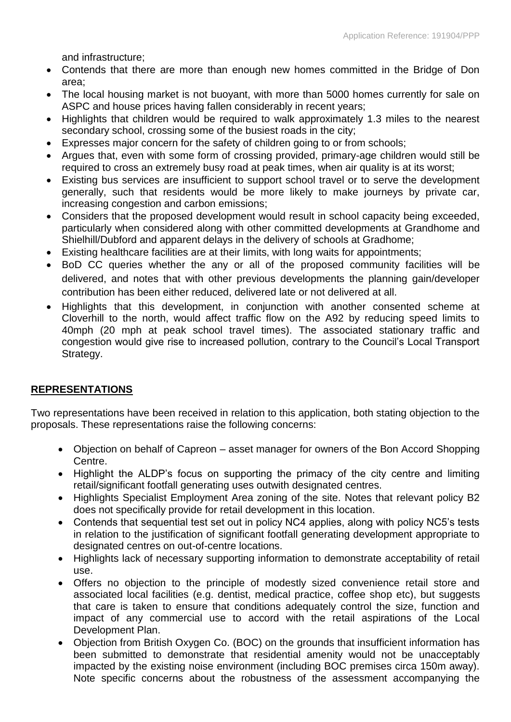and infrastructure;

- Contends that there are more than enough new homes committed in the Bridge of Don area;
- The local housing market is not buoyant, with more than 5000 homes currently for sale on ASPC and house prices having fallen considerably in recent years;
- Highlights that children would be required to walk approximately 1.3 miles to the nearest secondary school, crossing some of the busiest roads in the city;
- Expresses major concern for the safety of children going to or from schools;
- Argues that, even with some form of crossing provided, primary-age children would still be required to cross an extremely busy road at peak times, when air quality is at its worst;
- Existing bus services are insufficient to support school travel or to serve the development generally, such that residents would be more likely to make journeys by private car, increasing congestion and carbon emissions;
- Considers that the proposed development would result in school capacity being exceeded, particularly when considered along with other committed developments at Grandhome and Shielhill/Dubford and apparent delays in the delivery of schools at Gradhome;
- Existing healthcare facilities are at their limits, with long waits for appointments;
- BoD CC queries whether the any or all of the proposed community facilities will be delivered, and notes that with other previous developments the planning gain/developer contribution has been either reduced, delivered late or not delivered at all.
- Highlights that this development, in conjunction with another consented scheme at Cloverhill to the north, would affect traffic flow on the A92 by reducing speed limits to 40mph (20 mph at peak school travel times). The associated stationary traffic and congestion would give rise to increased pollution, contrary to the Council's Local Transport Strategy.

## **REPRESENTATIONS**

Two representations have been received in relation to this application, both stating objection to the proposals. These representations raise the following concerns:

- Objection on behalf of Capreon asset manager for owners of the Bon Accord Shopping Centre.
- Highlight the ALDP's focus on supporting the primacy of the city centre and limiting retail/significant footfall generating uses outwith designated centres.
- Highlights Specialist Employment Area zoning of the site. Notes that relevant policy B2 does not specifically provide for retail development in this location.
- Contends that sequential test set out in policy NC4 applies, along with policy NC5's tests in relation to the justification of significant footfall generating development appropriate to designated centres on out-of-centre locations.
- Highlights lack of necessary supporting information to demonstrate acceptability of retail use.
- Offers no objection to the principle of modestly sized convenience retail store and associated local facilities (e.g. dentist, medical practice, coffee shop etc), but suggests that care is taken to ensure that conditions adequately control the size, function and impact of any commercial use to accord with the retail aspirations of the Local Development Plan.
- Objection from British Oxygen Co. (BOC) on the grounds that insufficient information has been submitted to demonstrate that residential amenity would not be unacceptably impacted by the existing noise environment (including BOC premises circa 150m away). Note specific concerns about the robustness of the assessment accompanying the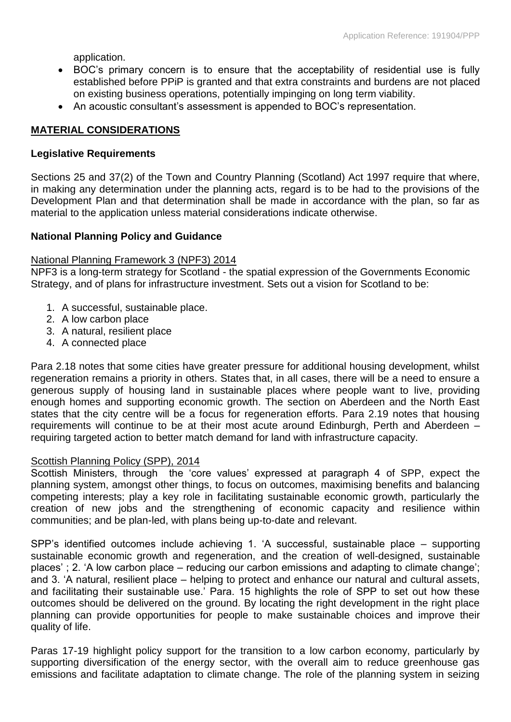application.

- BOC's primary concern is to ensure that the acceptability of residential use is fully established before PPiP is granted and that extra constraints and burdens are not placed on existing business operations, potentially impinging on long term viability.
- An acoustic consultant's assessment is appended to BOC's representation.

## **MATERIAL CONSIDERATIONS**

#### **Legislative Requirements**

Sections 25 and 37(2) of the Town and Country Planning (Scotland) Act 1997 require that where, in making any determination under the planning acts, regard is to be had to the provisions of the Development Plan and that determination shall be made in accordance with the plan, so far as material to the application unless material considerations indicate otherwise.

#### **National Planning Policy and Guidance**

#### National Planning Framework 3 (NPF3) 2014

NPF3 is a long-term strategy for Scotland - the spatial expression of the Governments Economic Strategy, and of plans for infrastructure investment. Sets out a vision for Scotland to be:

- 1. A successful, sustainable place.
- 2. A low carbon place
- 3. A natural, resilient place
- 4. A connected place

Para 2.18 notes that some cities have greater pressure for additional housing development, whilst regeneration remains a priority in others. States that, in all cases, there will be a need to ensure a generous supply of housing land in sustainable places where people want to live, providing enough homes and supporting economic growth. The section on Aberdeen and the North East states that the city centre will be a focus for regeneration efforts. Para 2.19 notes that housing requirements will continue to be at their most acute around Edinburgh, Perth and Aberdeen – requiring targeted action to better match demand for land with infrastructure capacity.

#### Scottish Planning Policy (SPP), 2014

Scottish Ministers, through the 'core values' expressed at paragraph 4 of SPP, expect the planning system, amongst other things, to focus on outcomes, maximising benefits and balancing competing interests; play a key role in facilitating sustainable economic growth, particularly the creation of new jobs and the strengthening of economic capacity and resilience within communities; and be plan-led, with plans being up-to-date and relevant.

SPP's identified outcomes include achieving 1. 'A successful, sustainable place – supporting sustainable economic growth and regeneration, and the creation of well-designed, sustainable places' ; 2. 'A low carbon place – reducing our carbon emissions and adapting to climate change'; and 3. 'A natural, resilient place – helping to protect and enhance our natural and cultural assets, and facilitating their sustainable use.' Para. 15 highlights the role of SPP to set out how these outcomes should be delivered on the ground. By locating the right development in the right place planning can provide opportunities for people to make sustainable choices and improve their quality of life.

Paras 17-19 highlight policy support for the transition to a low carbon economy, particularly by supporting diversification of the energy sector, with the overall aim to reduce greenhouse gas emissions and facilitate adaptation to climate change. The role of the planning system in seizing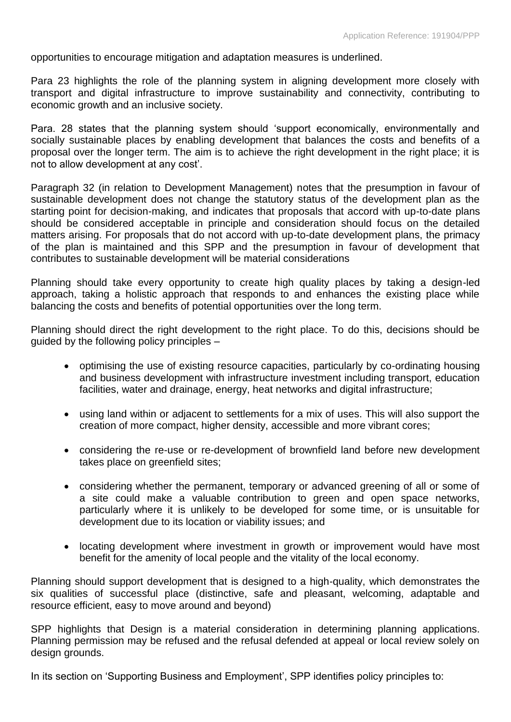opportunities to encourage mitigation and adaptation measures is underlined.

Para 23 highlights the role of the planning system in aligning development more closely with transport and digital infrastructure to improve sustainability and connectivity, contributing to economic growth and an inclusive society.

Para. 28 states that the planning system should 'support economically, environmentally and socially sustainable places by enabling development that balances the costs and benefits of a proposal over the longer term. The aim is to achieve the right development in the right place; it is not to allow development at any cost'.

Paragraph 32 (in relation to Development Management) notes that the presumption in favour of sustainable development does not change the statutory status of the development plan as the starting point for decision-making, and indicates that proposals that accord with up-to-date plans should be considered acceptable in principle and consideration should focus on the detailed matters arising. For proposals that do not accord with up-to-date development plans, the primacy of the plan is maintained and this SPP and the presumption in favour of development that contributes to sustainable development will be material considerations

Planning should take every opportunity to create high quality places by taking a design-led approach, taking a holistic approach that responds to and enhances the existing place while balancing the costs and benefits of potential opportunities over the long term.

Planning should direct the right development to the right place. To do this, decisions should be guided by the following policy principles –

- optimising the use of existing resource capacities, particularly by co-ordinating housing and business development with infrastructure investment including transport, education facilities, water and drainage, energy, heat networks and digital infrastructure;
- using land within or adjacent to settlements for a mix of uses. This will also support the creation of more compact, higher density, accessible and more vibrant cores;
- considering the re-use or re-development of brownfield land before new development takes place on greenfield sites;
- considering whether the permanent, temporary or advanced greening of all or some of a site could make a valuable contribution to green and open space networks, particularly where it is unlikely to be developed for some time, or is unsuitable for development due to its location or viability issues; and
- locating development where investment in growth or improvement would have most benefit for the amenity of local people and the vitality of the local economy.

Planning should support development that is designed to a high-quality, which demonstrates the six qualities of successful place (distinctive, safe and pleasant, welcoming, adaptable and resource efficient, easy to move around and beyond)

SPP highlights that Design is a material consideration in determining planning applications. Planning permission may be refused and the refusal defended at appeal or local review solely on design grounds.

In its section on 'Supporting Business and Employment', SPP identifies policy principles to: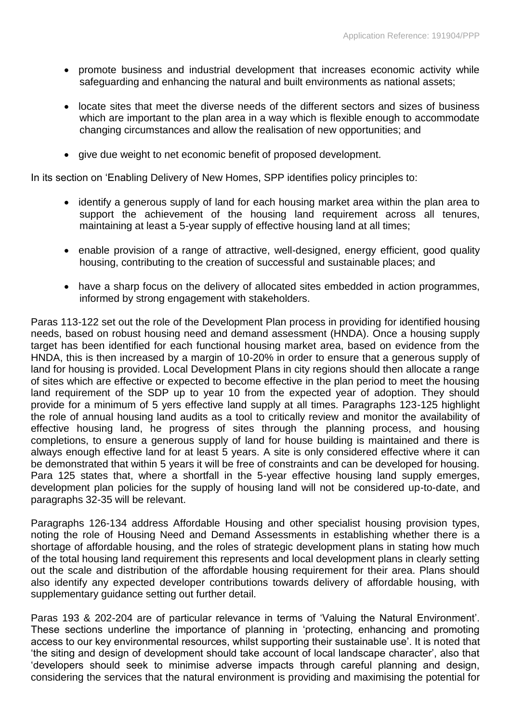- promote business and industrial development that increases economic activity while safeguarding and enhancing the natural and built environments as national assets;
- locate sites that meet the diverse needs of the different sectors and sizes of business which are important to the plan area in a way which is flexible enough to accommodate changing circumstances and allow the realisation of new opportunities; and
- give due weight to net economic benefit of proposed development.

In its section on 'Enabling Delivery of New Homes, SPP identifies policy principles to:

- identify a generous supply of land for each housing market area within the plan area to support the achievement of the housing land requirement across all tenures, maintaining at least a 5-year supply of effective housing land at all times;
- enable provision of a range of attractive, well-designed, energy efficient, good quality housing, contributing to the creation of successful and sustainable places; and
- have a sharp focus on the delivery of allocated sites embedded in action programmes, informed by strong engagement with stakeholders.

Paras 113-122 set out the role of the Development Plan process in providing for identified housing needs, based on robust housing need and demand assessment (HNDA). Once a housing supply target has been identified for each functional housing market area, based on evidence from the HNDA, this is then increased by a margin of 10-20% in order to ensure that a generous supply of land for housing is provided. Local Development Plans in city regions should then allocate a range of sites which are effective or expected to become effective in the plan period to meet the housing land requirement of the SDP up to year 10 from the expected year of adoption. They should provide for a minimum of 5 yers effective land supply at all times. Paragraphs 123-125 highlight the role of annual housing land audits as a tool to critically review and monitor the availability of effective housing land, he progress of sites through the planning process, and housing completions, to ensure a generous supply of land for house building is maintained and there is always enough effective land for at least 5 years. A site is only considered effective where it can be demonstrated that within 5 years it will be free of constraints and can be developed for housing. Para 125 states that, where a shortfall in the 5-year effective housing land supply emerges, development plan policies for the supply of housing land will not be considered up-to-date, and paragraphs 32-35 will be relevant.

Paragraphs 126-134 address Affordable Housing and other specialist housing provision types, noting the role of Housing Need and Demand Assessments in establishing whether there is a shortage of affordable housing, and the roles of strategic development plans in stating how much of the total housing land requirement this represents and local development plans in clearly setting out the scale and distribution of the affordable housing requirement for their area. Plans should also identify any expected developer contributions towards delivery of affordable housing, with supplementary guidance setting out further detail.

Paras 193 & 202-204 are of particular relevance in terms of 'Valuing the Natural Environment'. These sections underline the importance of planning in 'protecting, enhancing and promoting access to our key environmental resources, whilst supporting their sustainable use'. It is noted that 'the siting and design of development should take account of local landscape character', also that 'developers should seek to minimise adverse impacts through careful planning and design, considering the services that the natural environment is providing and maximising the potential for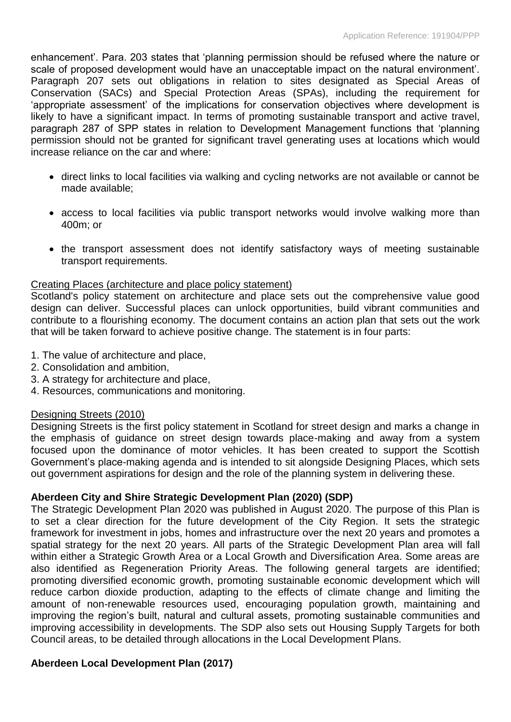enhancement'. Para. 203 states that 'planning permission should be refused where the nature or scale of proposed development would have an unacceptable impact on the natural environment'. Paragraph 207 sets out obligations in relation to sites designated as Special Areas of Conservation (SACs) and Special Protection Areas (SPAs), including the requirement for 'appropriate assessment' of the implications for conservation objectives where development is likely to have a significant impact. In terms of promoting sustainable transport and active travel, paragraph 287 of SPP states in relation to Development Management functions that 'planning permission should not be granted for significant travel generating uses at locations which would increase reliance on the car and where:

- direct links to local facilities via walking and cycling networks are not available or cannot be made available;
- access to local facilities via public transport networks would involve walking more than 400m; or
- the transport assessment does not identify satisfactory ways of meeting sustainable transport requirements.

## Creating Places (architecture and place policy statement)

Scotland's policy statement on architecture and place sets out the comprehensive value good design can deliver. Successful places can unlock opportunities, build vibrant communities and contribute to a flourishing economy. The document contains an action plan that sets out the work that will be taken forward to achieve positive change. The statement is in four parts:

- 1. The value of architecture and place,
- 2. Consolidation and ambition,
- 3. A strategy for architecture and place,
- 4. Resources, communications and monitoring.

## Designing Streets (2010)

Designing Streets is the first policy statement in Scotland for street design and marks a change in the emphasis of guidance on street design towards place-making and away from a system focused upon the dominance of motor vehicles. It has been created to support the Scottish Government's place-making agenda and is intended to sit alongside Designing Places, which sets out government aspirations for design and the role of the planning system in delivering these.

## **Aberdeen City and Shire Strategic Development Plan (2020) (SDP)**

The Strategic Development Plan 2020 was published in August 2020. The purpose of this Plan is to set a clear direction for the future development of the City Region. It sets the strategic framework for investment in jobs, homes and infrastructure over the next 20 years and promotes a spatial strategy for the next 20 years. All parts of the Strategic Development Plan area will fall within either a Strategic Growth Area or a Local Growth and Diversification Area. Some areas are also identified as Regeneration Priority Areas. The following general targets are identified; promoting diversified economic growth, promoting sustainable economic development which will reduce carbon dioxide production, adapting to the effects of climate change and limiting the amount of non-renewable resources used, encouraging population growth, maintaining and improving the region's built, natural and cultural assets, promoting sustainable communities and improving accessibility in developments. The SDP also sets out Housing Supply Targets for both Council areas, to be detailed through allocations in the Local Development Plans.

## **Aberdeen Local Development Plan (2017)**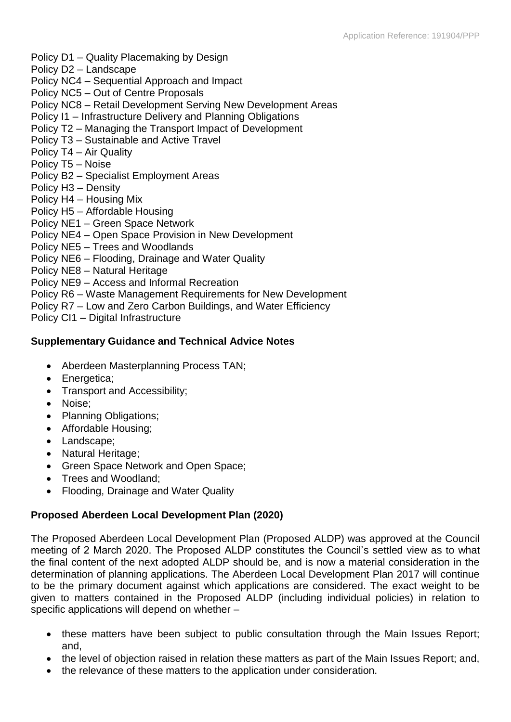- Policy D1 Quality Placemaking by Design
- Policy D2 Landscape
- Policy NC4 Sequential Approach and Impact
- Policy NC5 Out of Centre Proposals
- Policy NC8 Retail Development Serving New Development Areas
- Policy I1 Infrastructure Delivery and Planning Obligations
- Policy T2 Managing the Transport Impact of Development
- Policy T3 Sustainable and Active Travel
- Policy T4 Air Quality
- Policy T5 Noise
- Policy B2 Specialist Employment Areas
- Policy H3 Density
- Policy H4 Housing Mix
- Policy H5 Affordable Housing
- Policy NE1 Green Space Network
- Policy NE4 Open Space Provision in New Development
- Policy NE5 Trees and Woodlands
- Policy NE6 Flooding, Drainage and Water Quality
- Policy NE8 Natural Heritage
- Policy NE9 Access and Informal Recreation
- Policy R6 Waste Management Requirements for New Development
- Policy R7 Low and Zero Carbon Buildings, and Water Efficiency
- Policy CI1 Digital Infrastructure

## **Supplementary Guidance and Technical Advice Notes**

- Aberdeen Masterplanning Process TAN;
- Energetica;
- Transport and Accessibility;
- Noise:
- Planning Obligations;
- Affordable Housing:
- Landscape;
- Natural Heritage;
- Green Space Network and Open Space;
- Trees and Woodland:
- Flooding, Drainage and Water Quality

## **Proposed Aberdeen Local Development Plan (2020)**

The Proposed Aberdeen Local Development Plan (Proposed ALDP) was approved at the Council meeting of 2 March 2020. The Proposed ALDP constitutes the Council's settled view as to what the final content of the next adopted ALDP should be, and is now a material consideration in the determination of planning applications. The Aberdeen Local Development Plan 2017 will continue to be the primary document against which applications are considered. The exact weight to be given to matters contained in the Proposed ALDP (including individual policies) in relation to specific applications will depend on whether –

- these matters have been subject to public consultation through the Main Issues Report; and,
- the level of objection raised in relation these matters as part of the Main Issues Report; and,
- the relevance of these matters to the application under consideration.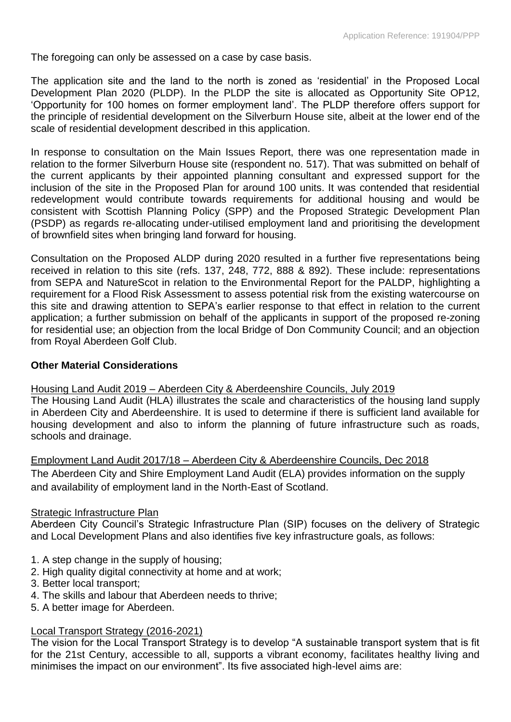The foregoing can only be assessed on a case by case basis.

The application site and the land to the north is zoned as 'residential' in the Proposed Local Development Plan 2020 (PLDP). In the PLDP the site is allocated as Opportunity Site OP12, 'Opportunity for 100 homes on former employment land'. The PLDP therefore offers support for the principle of residential development on the Silverburn House site, albeit at the lower end of the scale of residential development described in this application.

In response to consultation on the Main Issues Report, there was one representation made in relation to the former Silverburn House site (respondent no. 517). That was submitted on behalf of the current applicants by their appointed planning consultant and expressed support for the inclusion of the site in the Proposed Plan for around 100 units. It was contended that residential redevelopment would contribute towards requirements for additional housing and would be consistent with Scottish Planning Policy (SPP) and the Proposed Strategic Development Plan (PSDP) as regards re-allocating under-utilised employment land and prioritising the development of brownfield sites when bringing land forward for housing.

Consultation on the Proposed ALDP during 2020 resulted in a further five representations being received in relation to this site (refs. 137, 248, 772, 888 & 892). These include: representations from SEPA and NatureScot in relation to the Environmental Report for the PALDP, highlighting a requirement for a Flood Risk Assessment to assess potential risk from the existing watercourse on this site and drawing attention to SEPA's earlier response to that effect in relation to the current application; a further submission on behalf of the applicants in support of the proposed re-zoning for residential use; an objection from the local Bridge of Don Community Council; and an objection from Royal Aberdeen Golf Club.

## **Other Material Considerations**

## Housing Land Audit 2019 – Aberdeen City & Aberdeenshire Councils, July 2019

The Housing Land Audit (HLA) illustrates the scale and characteristics of the housing land supply in Aberdeen City and Aberdeenshire. It is used to determine if there is sufficient land available for housing development and also to inform the planning of future infrastructure such as roads, schools and drainage.

Employment Land Audit 2017/18 – Aberdeen City & Aberdeenshire Councils, Dec 2018 The Aberdeen City and Shire Employment Land Audit (ELA) provides information on the supply and availability of employment land in the North-East of Scotland.

## **Strategic Infrastructure Plan**

Aberdeen City Council's Strategic Infrastructure Plan (SIP) focuses on the delivery of Strategic and Local Development Plans and also identifies five key infrastructure goals, as follows:

- 1. A step change in the supply of housing;
- 2. High quality digital connectivity at home and at work;
- 3. Better local transport;
- 4. The skills and labour that Aberdeen needs to thrive;
- 5. A better image for Aberdeen.

## Local Transport Strategy (2016-2021)

The vision for the Local Transport Strategy is to develop "A sustainable transport system that is fit for the 21st Century, accessible to all, supports a vibrant economy, facilitates healthy living and minimises the impact on our environment". Its five associated high-level aims are: